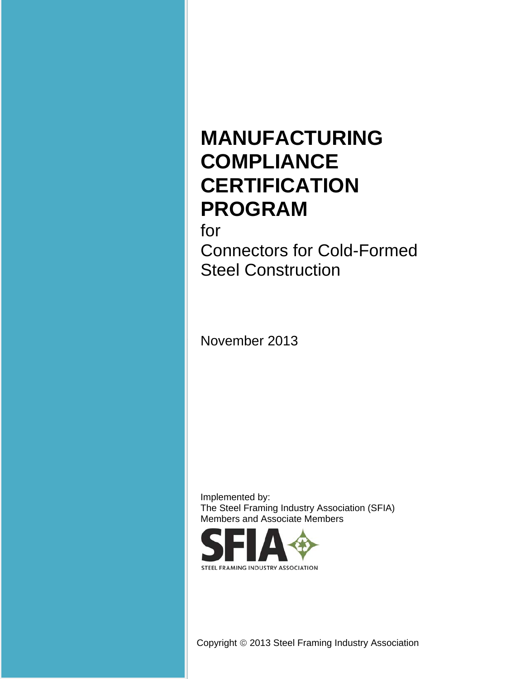# **MANUFACTURING COMPLIANCE CERTIFICATION PROGRAM**

for

Connectors for Cold-Formed Steel Construction

November 2013

Implemented by: The Steel Framing Industry Association (SFIA) Members and Associate Members



Copyright 2013 Steel Framing Industry Association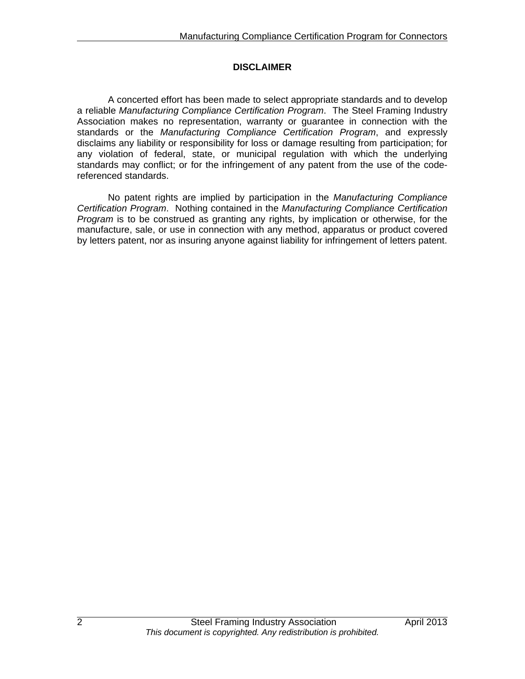# **DISCLAIMER**

A concerted effort has been made to select appropriate standards and to develop a reliable *Manufacturing Compliance Certification Program*. The Steel Framing Industry Association makes no representation, warranty or guarantee in connection with the standards or the *Manufacturing Compliance Certification Program*, and expressly disclaims any liability or responsibility for loss or damage resulting from participation; for any violation of federal, state, or municipal regulation with which the underlying standards may conflict; or for the infringement of any patent from the use of the codereferenced standards.

No patent rights are implied by participation in the *Manufacturing Compliance Certification Program*. Nothing contained in the *Manufacturing Compliance Certification Program* is to be construed as granting any rights, by implication or otherwise, for the manufacture, sale, or use in connection with any method, apparatus or product covered by letters patent, nor as insuring anyone against liability for infringement of letters patent.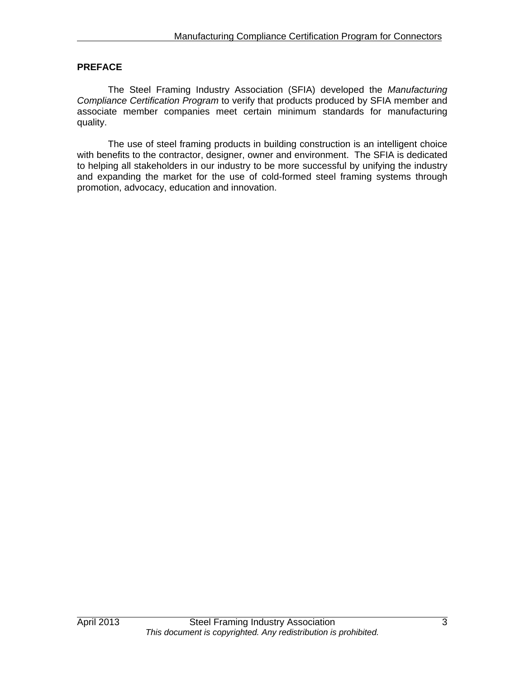#### **PREFACE**

The Steel Framing Industry Association (SFIA) developed the *Manufacturing Compliance Certification Program* to verify that products produced by SFIA member and associate member companies meet certain minimum standards for manufacturing quality.

The use of steel framing products in building construction is an intelligent choice with benefits to the contractor, designer, owner and environment. The SFIA is dedicated to helping all stakeholders in our industry to be more successful by unifying the industry and expanding the market for the use of cold-formed steel framing systems through promotion, advocacy, education and innovation.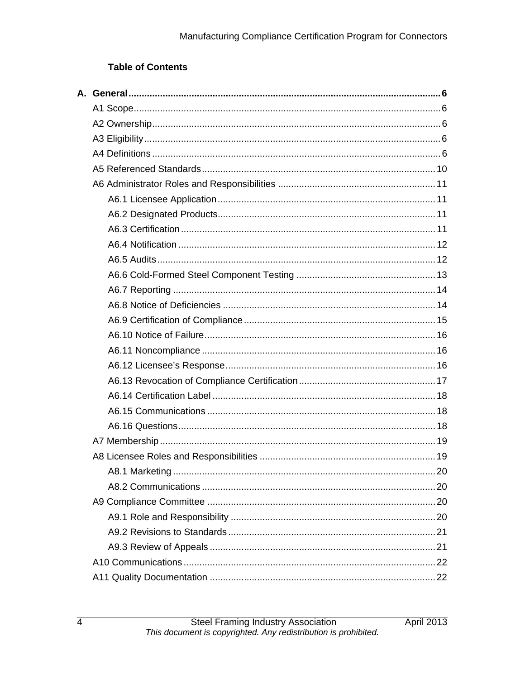# **Table of Contents**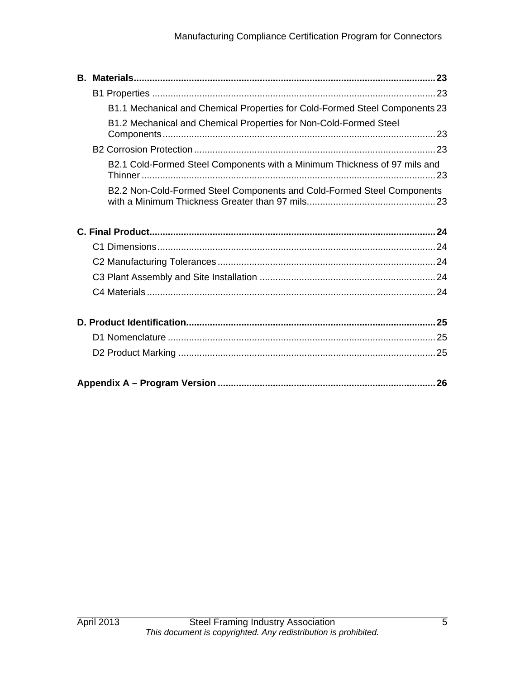|  | B1.1 Mechanical and Chemical Properties for Cold-Formed Steel Components 23 |  |  |  |
|--|-----------------------------------------------------------------------------|--|--|--|
|  | B1.2 Mechanical and Chemical Properties for Non-Cold-Formed Steel           |  |  |  |
|  |                                                                             |  |  |  |
|  | B2.1 Cold-Formed Steel Components with a Minimum Thickness of 97 mils and   |  |  |  |
|  | B2.2 Non-Cold-Formed Steel Components and Cold-Formed Steel Components      |  |  |  |
|  |                                                                             |  |  |  |
|  |                                                                             |  |  |  |
|  |                                                                             |  |  |  |
|  |                                                                             |  |  |  |
|  |                                                                             |  |  |  |
|  |                                                                             |  |  |  |
|  |                                                                             |  |  |  |
|  |                                                                             |  |  |  |
|  |                                                                             |  |  |  |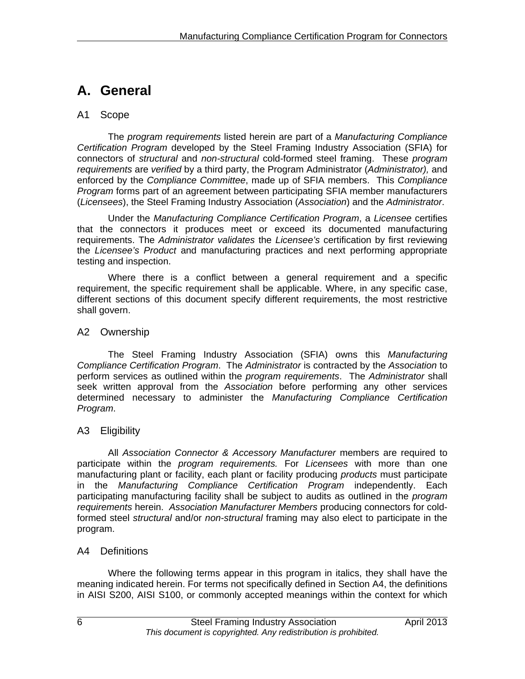# **A. General**

# A1 Scope

The *program requirements* listed herein are part of a *Manufacturing Compliance Certification Program* developed by the Steel Framing Industry Association (SFIA) for connectors of *structural* and *non-structural* cold-formed steel framing. These *program requirements* are *verified* by a third party, the Program Administrator (*Administrator),* and enforced by the *Compliance Committee*, made up of SFIA members. This *Compliance Program* forms part of an agreement between participating SFIA member manufacturers (*Licensees*), the Steel Framing Industry Association (*Association*) and the *Administrator*.

Under the *Manufacturing Compliance Certification Program*, a *Licensee* certifies that the connectors it produces meet or exceed its documented manufacturing requirements. The *Administrator validates* the *Licensee's* certification by first reviewing the *Licensee's Product* and manufacturing practices and next performing appropriate testing and inspection.

Where there is a conflict between a general requirement and a specific requirement, the specific requirement shall be applicable. Where, in any specific case, different sections of this document specify different requirements, the most restrictive shall govern.

# A2 Ownership

The Steel Framing Industry Association (SFIA) owns this *Manufacturing Compliance Certification Program*. The *Administrator* is contracted by the *Association* to perform services as outlined within the *program requirements*. The *Administrator* shall seek written approval from the *Association* before performing any other services determined necessary to administer the *Manufacturing Compliance Certification Program*.

# A3 Eligibility

All *Association Connector & Accessory Manufacturer* members are required to participate within the *program requirements.* For *Licensees* with more than one manufacturing plant or facility, each plant or facility producing *products* must participate in the *Manufacturing Compliance Certification Program* independently. Each participating manufacturing facility shall be subject to audits as outlined in the *program requirements* herein. *Association Manufacturer Members* producing connectors for coldformed steel *structural* and/or *non-structural* framing may also elect to participate in the program.

# A4 Definitions

Where the following terms appear in this program in italics, they shall have the meaning indicated herein. For terms not specifically defined in Section A4, the definitions in AISI S200, AISI S100, or commonly accepted meanings within the context for which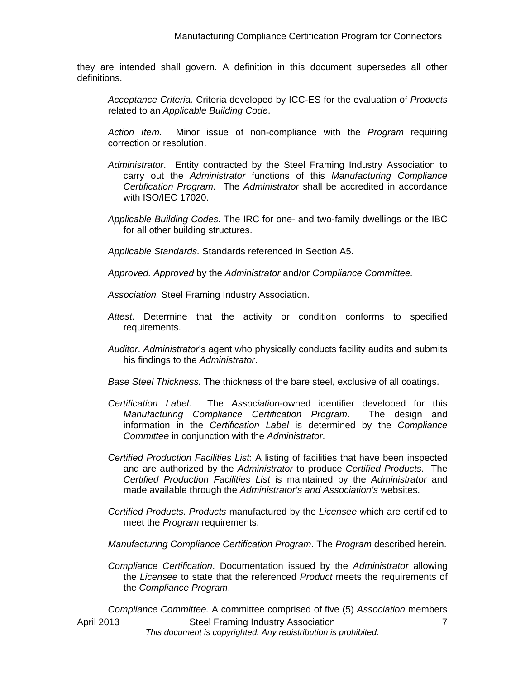they are intended shall govern. A definition in this document supersedes all other definitions.

*Acceptance Criteria.* Criteria developed by ICC-ES for the evaluation of *Products*  related to an *Applicable Building Code*.

*Action Item.* Minor issue of non-compliance with the *Program* requiring correction or resolution.

- *Administrator*. Entity contracted by the Steel Framing Industry Association to carry out the *Administrator* functions of this *Manufacturing Compliance Certification Program*. The *Administrator* shall be accredited in accordance with ISO/IEC 17020.
- *Applicable Building Codes.* The IRC for one- and two-family dwellings or the IBC for all other building structures.

*Applicable Standards.* Standards referenced in Section A5.

*Approved. Approved* by the *Administrator* and/or *Compliance Committee.* 

*Association.* Steel Framing Industry Association.

- *Attest*. Determine that the activity or condition conforms to specified requirements.
- *Auditor*. *Administrator*'s agent who physically conducts facility audits and submits his findings to the *Administrator*.
- *Base Steel Thickness.* The thickness of the bare steel, exclusive of all coatings.
- *Certification Label*. The *Association*-owned identifier developed for this *Manufacturing Compliance Certification Program*. The design and information in the *Certification Label* is determined by the *Compliance Committee* in conjunction with the *Administrator*.
- *Certified Production Facilities List*: A listing of facilities that have been inspected and are authorized by the *Administrator* to produce *Certified Products*. The *Certified Production Facilities List* is maintained by the *Administrator* and made available through the *Administrator's and Association's* websites.
- *Certified Products*. *Products* manufactured by the *Licensee* which are certified to meet the *Program* requirements.
- *Manufacturing Compliance Certification Program*. The *Program* described herein.
- *Compliance Certification*. Documentation issued by the *Administrator* allowing the *Licensee* to state that the referenced *Product* meets the requirements of the *Compliance Program*.

*Compliance Committee.* A committee comprised of five (5) *Association* members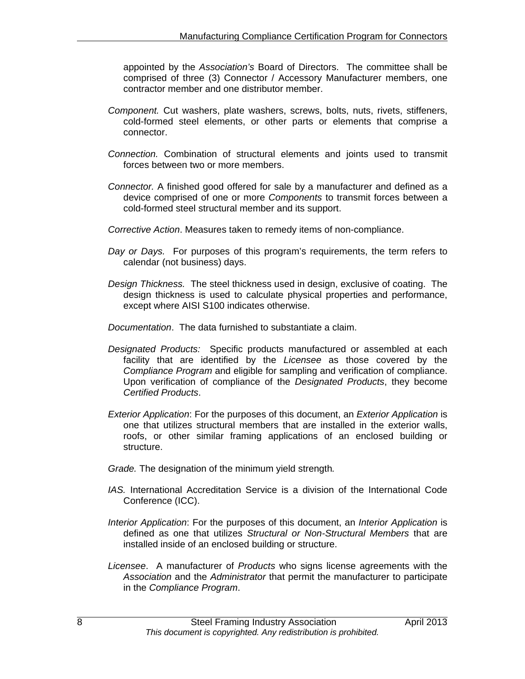appointed by the *Association's* Board of Directors. The committee shall be comprised of three (3) Connector / Accessory Manufacturer members, one contractor member and one distributor member.

- *Component.* Cut washers, plate washers, screws, bolts, nuts, rivets, stiffeners, cold-formed steel elements, or other parts or elements that comprise a connector.
- *Connection.* Combination of structural elements and joints used to transmit forces between two or more members.
- *Connector.* A finished good offered for sale by a manufacturer and defined as a device comprised of one or more *Components* to transmit forces between a cold-formed steel structural member and its support.
- *Corrective Action*. Measures taken to remedy items of non-compliance.
- *Day or Days.* For purposes of this program's requirements, the term refers to calendar (not business) days.
- *Design Thickness.* The steel thickness used in design, exclusive of coating. The design thickness is used to calculate physical properties and performance, except where AISI S100 indicates otherwise.
- *Documentation*. The data furnished to substantiate a claim.
- *Designated Products:* Specific products manufactured or assembled at each facility that are identified by the *Licensee* as those covered by the *Compliance Program* and eligible for sampling and verification of compliance. Upon verification of compliance of the *Designated Products*, they become *Certified Products*.
- *Exterior Application*: For the purposes of this document, an *Exterior Application* is one that utilizes structural members that are installed in the exterior walls, roofs, or other similar framing applications of an enclosed building or structure.
- *Grade.* The designation of the minimum yield strength*.*
- *IAS.* International Accreditation Service is a division of the International Code Conference (ICC).
- *Interior Application*: For the purposes of this document, an *Interior Application* is defined as one that utilizes *Structural or Non-Structural Members* that are installed inside of an enclosed building or structure.
- *Licensee*. A manufacturer of *Products* who signs license agreements with the *Association* and the *Administrator* that permit the manufacturer to participate in the *Compliance Program*.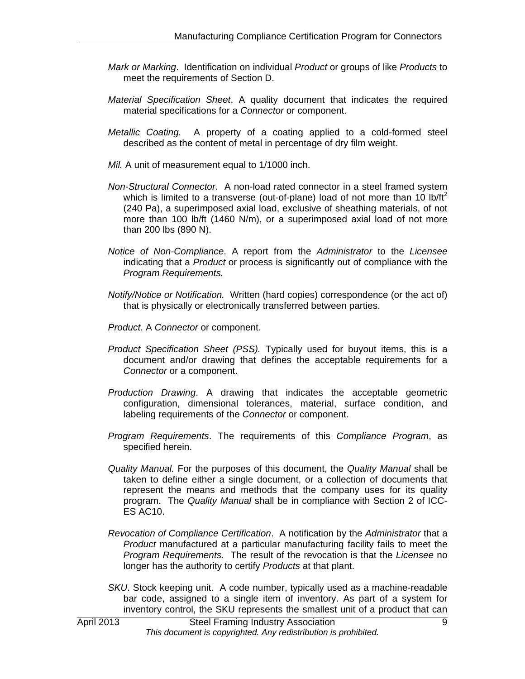- *Mark or Marking*. Identification on individual *Product* or groups of like *Products* to meet the requirements of Section D.
- *Material Specification Sheet*. A quality document that indicates the required material specifications for a *Connector* or component.
- *Metallic Coating.* A property of a coating applied to a cold-formed steel described as the content of metal in percentage of dry film weight.
- *Mil.* A unit of measurement equal to 1/1000 inch.
- *Non-Structural Connector*. A non-load rated connector in a steel framed system which is limited to a transverse (out-of-plane) load of not more than 10 lb/ft<sup>2</sup> (240 Pa), a superimposed axial load, exclusive of sheathing materials, of not more than 100 lb/ft (1460 N/m), or a superimposed axial load of not more than 200 lbs (890 N).
- *Notice of Non-Compliance*. A report from the *Administrator* to the *Licensee* indicating that a *Product* or process is significantly out of compliance with the *Program Requirements.*
- *Notify/Notice or Notification.* Written (hard copies) correspondence (or the act of) that is physically or electronically transferred between parties.
- *Product*. A *Connector* or component.
- *Product Specification Sheet (PSS).* Typically used for buyout items, this is a document and/or drawing that defines the acceptable requirements for a *Connector* or a component.
- *Production Drawing*. A drawing that indicates the acceptable geometric configuration, dimensional tolerances, material, surface condition, and labeling requirements of the *Connector* or component.
- *Program Requirements*. The requirements of this *Compliance Program*, as specified herein.
- *Quality Manual.* For the purposes of this document, the *Quality Manual* shall be taken to define either a single document, or a collection of documents that represent the means and methods that the company uses for its quality program. The *Quality Manual* shall be in compliance with Section 2 of ICC-ES AC10.
- *Revocation of Compliance Certification*. A notification by the *Administrator* that a *Product* manufactured at a particular manufacturing facility fails to meet the *Program Requirements.* The result of the revocation is that the *Licensee* no longer has the authority to certify *Products* at that plant.
- *SKU*. Stock keeping unit. A code number, typically used as a machine-readable bar code, assigned to a single item of inventory. As part of a system for inventory control, the SKU represents the smallest unit of a product that can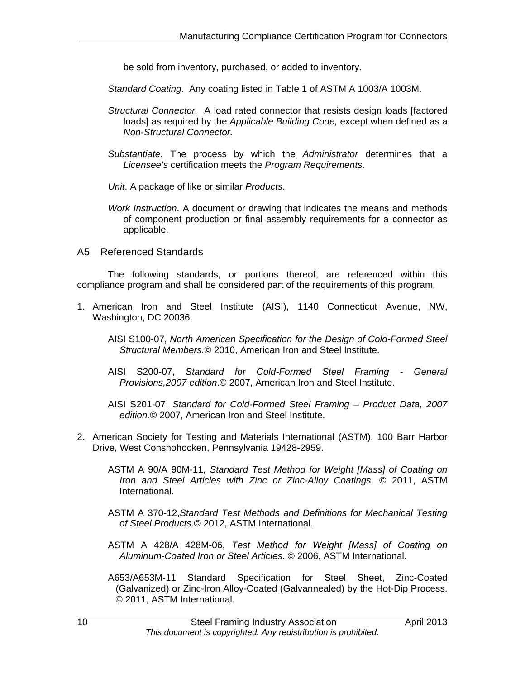be sold from inventory, purchased, or added to inventory.

*Standard Coating*. Any coating listed in Table 1 of ASTM A 1003/A 1003M.

- *Structural Connector.* A load rated connector that resists design loads [factored loads] as required by the *Applicable Building Code,* except when defined as a *Non-Structural Connector.*
- *Substantiate*. The process by which the *Administrator* determines that a *Licensee's* certification meets the *Program Requirements*.

*Unit*. A package of like or similar *Products*.

- *Work Instruction*. A document or drawing that indicates the means and methods of component production or final assembly requirements for a connector as applicable.
- A5 Referenced Standards

The following standards, or portions thereof, are referenced within this compliance program and shall be considered part of the requirements of this program.

- 1. American Iron and Steel Institute (AISI), 1140 Connecticut Avenue, NW, Washington, DC 20036.
	- AISI S100-07, *North American Specification for the Design of Cold-Formed Steel Structural Members.*© 2010, American Iron and Steel Institute.
	- AISI S200-07, *Standard for Cold-Formed Steel Framing General Provisions,2007 edition*.© 2007, American Iron and Steel Institute.
	- AISI S201-07, *Standard for Cold-Formed Steel Framing Product Data, 2007 edition.*© 2007, American Iron and Steel Institute.
- 2. American Society for Testing and Materials International (ASTM), 100 Barr Harbor Drive, West Conshohocken, Pennsylvania 19428-2959.
	- ASTM A 90/A 90M-11, *Standard Test Method for Weight [Mass] of Coating on Iron and Steel Articles with Zinc or Zinc-Alloy Coatings*. © 2011, ASTM International.
	- ASTM A 370-12,*Standard Test Methods and Definitions for Mechanical Testing of Steel Products.*© 2012, ASTM International.
	- ASTM A 428/A 428M-06, *Test Method for Weight [Mass] of Coating on Aluminum-Coated Iron or Steel Articles*. © 2006, ASTM International.
	- A653/A653M-11 Standard Specification for Steel Sheet, Zinc-Coated (Galvanized) or Zinc-Iron Alloy-Coated (Galvannealed) by the Hot-Dip Process. © 2011, ASTM International.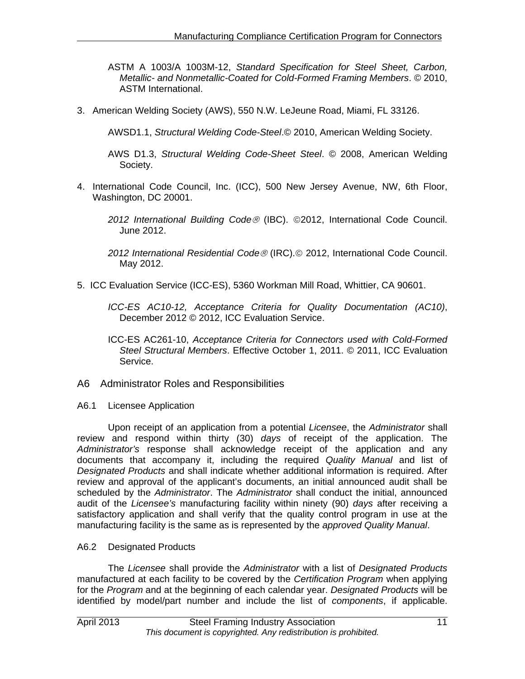ASTM A 1003/A 1003M-12, *Standard Specification for Steel Sheet, Carbon, Metallic- and Nonmetallic-Coated for Cold-Formed Framing Members*. © 2010, ASTM International.

3. American Welding Society (AWS), 550 N.W. LeJeune Road, Miami, FL 33126.

AWSD1.1, *Structural Welding Code-Steel*.© 2010, American Welding Society.

- AWS D1.3, *Structural Welding Code-Sheet Steel*. © 2008, American Welding Society.
- 4. International Code Council, Inc. (ICC), 500 New Jersey Avenue, NW, 6th Floor, Washington, DC 20001.
	- *2012 International Building Code* (IBC). 2012, International Code Council. June 2012.
	- *2012 International Residential Code* (IRC). 2012, International Code Council. May 2012.
- 5. ICC Evaluation Service (ICC-ES), 5360 Workman Mill Road, Whittier, CA 90601.
	- *ICC-ES AC10-12, Acceptance Criteria for Quality Documentation (AC10)*, December 2012 © 2012, ICC Evaluation Service.
	- ICC-ES AC261-10, *Acceptance Criteria for Connectors used with Cold-Formed Steel Structural Members*. Effective October 1, 2011. © 2011, ICC Evaluation Service.
- A6 Administrator Roles and Responsibilities
- A6.1 Licensee Application

Upon receipt of an application from a potential *Licensee*, the *Administrator* shall review and respond within thirty (30) *days* of receipt of the application. The *Administrator's* response shall acknowledge receipt of the application and any documents that accompany it, including the required *Quality Manual* and list of *Designated Products* and shall indicate whether additional information is required. After review and approval of the applicant's documents, an initial announced audit shall be scheduled by the *Administrator*. The *Administrator* shall conduct the initial, announced audit of the *Licensee's* manufacturing facility within ninety (90) *days* after receiving a satisfactory application and shall verify that the quality control program in use at the manufacturing facility is the same as is represented by the *approved Quality Manual*.

# A6.2 Designated Products

The *Licensee* shall provide the *Administrator* with a list of *Designated Products* manufactured at each facility to be covered by the *Certification Program* when applying for the *Program* and at the beginning of each calendar year. *Designated Products* will be identified by model/part number and include the list of *components*, if applicable.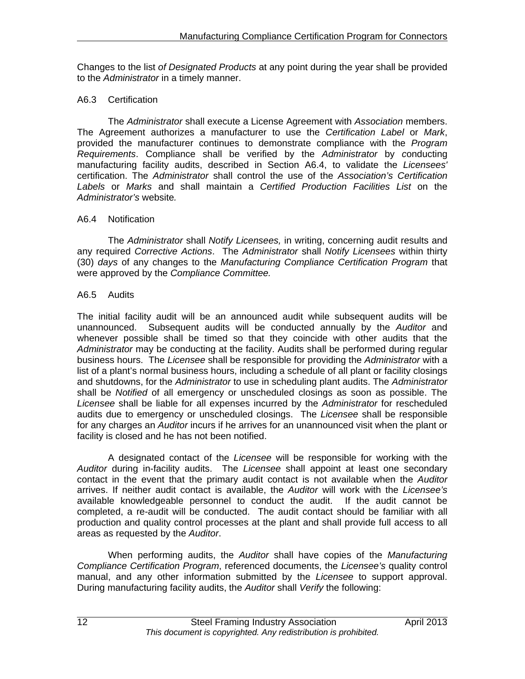Changes to the list *of Designated Products* at any point during the year shall be provided to the *Administrator* in a timely manner.

### A6.3 Certification

 The *Administrator* shall execute a License Agreement with *Association* members. The Agreement authorizes a manufacturer to use the *Certification Label* or *Mark*, provided the manufacturer continues to demonstrate compliance with the *Program Requirements*. Compliance shall be verified by the *Administrator* by *c*onducting manufacturing facility audits, described in Section A6.4, to validate the *Licensees'*  certification. The *Administrator* shall control the use of the *Association's Certification Labels* or *Marks* and shall maintain a *Certified Production Facilities List* on the *Administrator's* website*.* 

#### A6.4 Notification

The *Administrator* shall *Notify Licensees,* in writing, concerning audit results and any required *Corrective Actions*. The *Administrator* shall *Notify Licensees* within thirty (30) *days* of any changes to the *Manufacturing Compliance Certification Program* that were approved by the *Compliance Committee.* 

#### A6.5 Audits

The initial facility audit will be an announced audit while subsequent audits will be unannounced. Subsequent audits will be conducted annually by the *Auditor* and whenever possible shall be timed so that they coincide with other audits that the *Administrator* may be conducting at the facility. Audits shall be performed during regular business hours. The *Licensee* shall be responsible for providing the *Administrator* with a list of a plant's normal business hours, including a schedule of all plant or facility closings and shutdowns, for the *Administrator* to use in scheduling plant audits. The *Administrator* shall be *Notified* of all emergency or unscheduled closings as soon as possible. The *Licensee* shall be liable for all expenses incurred by the *Administrator* for rescheduled audits due to emergency or unscheduled closings. The *Licensee* shall be responsible for any charges an *Auditor* incurs if he arrives for an unannounced visit when the plant or facility is closed and he has not been notified.

A designated contact of the *Licensee* will be responsible for working with the *Auditor* during in-facility audits. The *Licensee* shall appoint at least one secondary contact in the event that the primary audit contact is not available when the *Auditor*  arrives. If neither audit contact is available, the *Auditor* will work with the *Licensee's*  available knowledgeable personnel to conduct the audit. If the audit cannot be completed, a re-audit will be conducted. The audit contact should be familiar with all production and quality control processes at the plant and shall provide full access to all areas as requested by the *Auditor*.

When performing audits, the *Auditor* shall have copies of the *Manufacturing Compliance Certification Program*, referenced documents, the *Licensee's* quality control manual, and any other information submitted by the *Licensee* to support approval. During manufacturing facility audits, the *Auditor* shall *Verify* the following: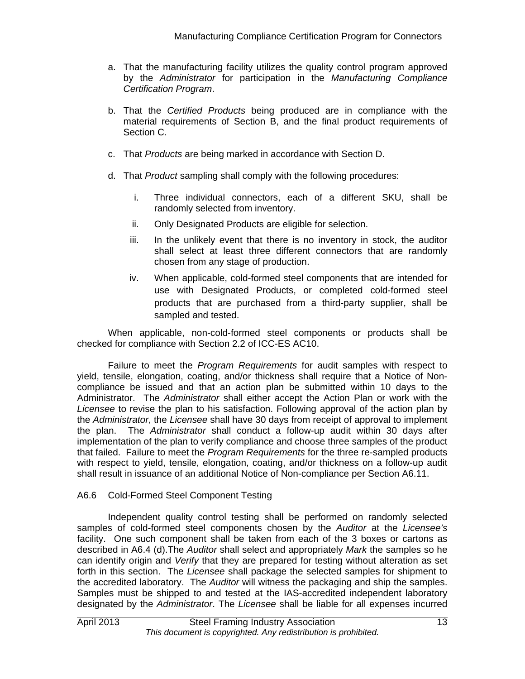- a. That the manufacturing facility utilizes the quality control program approved by the *Administrator* for participation in the *Manufacturing Compliance Certification Program*.
- b. That the *Certified Products* being produced are in compliance with the material requirements of Section B, and the final product requirements of Section C.
- c. That *Products* are being marked in accordance with Section D.
- d. That *Product* sampling shall comply with the following procedures:
	- i. Three individual connectors, each of a different SKU, shall be randomly selected from inventory.
	- ii. Only Designated Products are eligible for selection.
	- iii. In the unlikely event that there is no inventory in stock, the auditor shall select at least three different connectors that are randomly chosen from any stage of production.
	- iv. When applicable, cold-formed steel components that are intended for use with Designated Products, or completed cold-formed steel products that are purchased from a third-party supplier, shall be sampled and tested.

When applicable, non-cold-formed steel components or products shall be checked for compliance with Section 2.2 of ICC-ES AC10.

Failure to meet the *Program Requirements* for audit samples with respect to yield, tensile, elongation, coating, and/or thickness shall require that a Notice of Noncompliance be issued and that an action plan be submitted within 10 days to the Administrator. The *Administrator* shall either accept the Action Plan or work with the *Licensee* to revise the plan to his satisfaction. Following approval of the action plan by the *Administrator*, the *Licensee* shall have 30 days from receipt of approval to implement the plan. The *Administrator* shall conduct a follow-up audit within 30 days after implementation of the plan to verify compliance and choose three samples of the product that failed. Failure to meet the *Program Requirements* for the three re-sampled products with respect to yield, tensile, elongation, coating, and/or thickness on a follow-up audit shall result in issuance of an additional Notice of Non-compliance per Section A6.11.

#### A6.6 Cold-Formed Steel Component Testing

Independent quality control testing shall be performed on randomly selected samples of cold-formed steel components chosen by the *Auditor* at the *Licensee's* facility. One such component shall be taken from each of the 3 boxes or cartons as described in A6.4 (d).The *Auditor* shall select and appropriately *Mark* the samples so he can identify origin and *Verify* that they are prepared for testing without alteration as set forth in this section. The *Licensee* shall package the selected samples for shipment to the accredited laboratory. The *Auditor* will witness the packaging and ship the samples. Samples must be shipped to and tested at the IAS-accredited independent laboratory designated by the *Administrator*. The *Licensee* shall be liable for all expenses incurred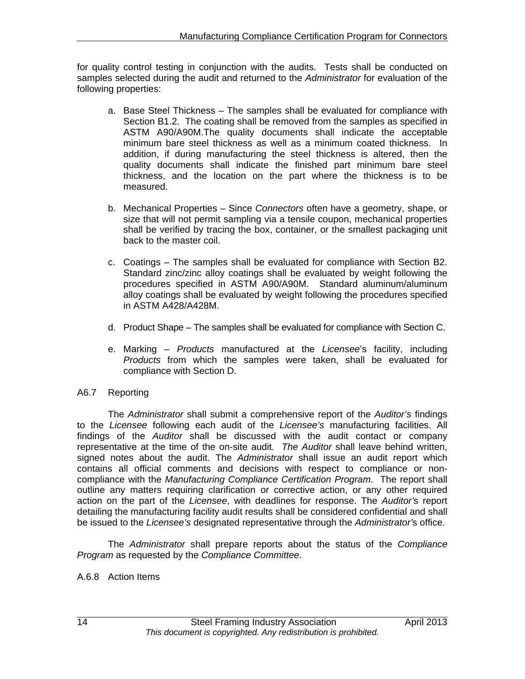for quality control testing in conjunction with the audits. Tests shall be conducted on samples selected during the audit and returned to the *Administrator* for evaluation of the following properties:

- a. Base Steel Thickness The samples shall be evaluated for compliance with Section B1.2. The coating shall be removed from the samples as specified in ASTM A90/A90M.The quality documents shall indicate the acceptable minimum bare steel thickness as well as a minimum coated thickness. In addition, if during manufacturing the steel thickness is altered, then the quality documents shall indicate the finished part minimum bare steel thickness, and the location on the part where the thickness is to be measured.
- b. Mechanical Properties Since *Connectors* often have a geometry, shape, or size that will not permit sampling via a tensile coupon, mechanical properties shall be verified by tracing the box, container, or the smallest packaging unit back to the master coil.
- c. Coatings The samples shall be evaluated for compliance with Section B2. Standard zinc/zinc alloy coatings shall be evaluated by weight following the procedures specified in ASTM A90/A90M. Standard aluminum/aluminum alloy coatings shall be evaluated by weight following the procedures specified in ASTM A428/A428M.
- d. Product Shape The samples shall be evaluated for compliance with Section C.
- e. Marking *Products* manufactured at the *Licensee*'s facility, including *Products* from which the samples were taken, shall be evaluated for compliance with Section D.

#### A6.7 Reporting

The *Administrator* shall submit a comprehensive report of the *Auditor's* findings to the *Licensee* following each audit of the *Licensee's* manufacturing facilities. All findings of the *Auditor* shall be discussed with the audit contact or company representative at the time of the on-site audit*. The Auditor* shall leave behind written, signed notes about the audit. The *Administrator* shall issue an audit report which contains all official comments and decisions with respect to compliance or noncompliance with the *Manufacturing Compliance Certification Program*. The report shall outline any matters requiring clarification or corrective action, or any other required action on the part of the *Licensee*, with deadlines for response. The *Auditor'*s report detailing the manufacturing facility audit results shall be considered confidential and shall be issued to the *Licensee's* designated representative through the *Administrator'*s office.

The *Administrator* shall prepare reports about the status of the *Compliance Program* as requested by the *Compliance Committee*.

#### A.6.8 Action Items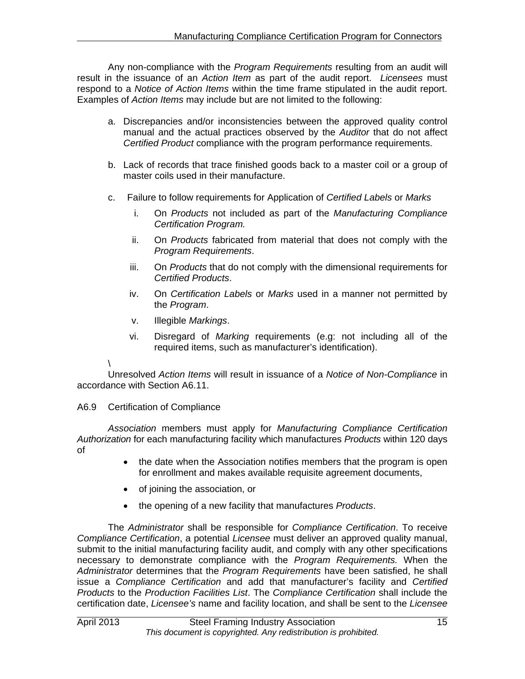Any non-compliance with the *Program Requirements* resulting from an audit will result in the issuance of an *Action Item* as part of the audit report. *Licensees* must respond to a *Notice of Action Items* within the time frame stipulated in the audit report. Examples of *Action Items* may include but are not limited to the following:

- a. Discrepancies and/or inconsistencies between the approved quality control manual and the actual practices observed by the *Auditor* that do not affect *Certified Product* compliance with the program performance requirements.
- b. Lack of records that trace finished goods back to a master coil or a group of master coils used in their manufacture.
- c. Failure to follow requirements for Application of *Certified Labels* or *Marks*
	- i. On *Products* not included as part of the *Manufacturing Compliance Certification Program.*
	- ii. On *Products* fabricated from material that does not comply with the *Program Requirements*.
	- iii. On *Products* that do not comply with the dimensional requirements for *Certified Products*.
	- iv. On *Certification Labels* or *Marks* used in a manner not permitted by the *Program*.
	- v. Illegible *Markings*.
	- vi. Disregard of *Marking* requirements (e.g: not including all of the required items, such as manufacturer's identification).

\ Unresolved *Action Items* will result in issuance of a *Notice of Non-Compliance* in accordance with Section A6.11.

# A6.9 Certification of Compliance

*Association* members must apply for *Manufacturing Compliance Certification Authorization* for each manufacturing facility which manufactures *Products* within 120 days of

- the date when the Association notifies members that the program is open for enrollment and makes available requisite agreement documents,
- of joining the association, or
- the opening of a new facility that manufactures *Products*.

The *Administrator* shall be responsible for *Compliance Certification*. To receive *Compliance Certification*, a potential *Licensee* must deliver an approved quality manual, submit to the initial manufacturing facility audit, and comply with any other specifications necessary to demonstrate compliance with the *Program Requirements.* When the *Administrator* determines that the *Program Requirements* have been satisfied, he shall issue a *Compliance Certification* and add that manufacturer's facility and *Certified Products* to the *Production Facilities List*. The *Compliance Certification* shall include the certification date, *Licensee's* name and facility location, and shall be sent to the *Licensee*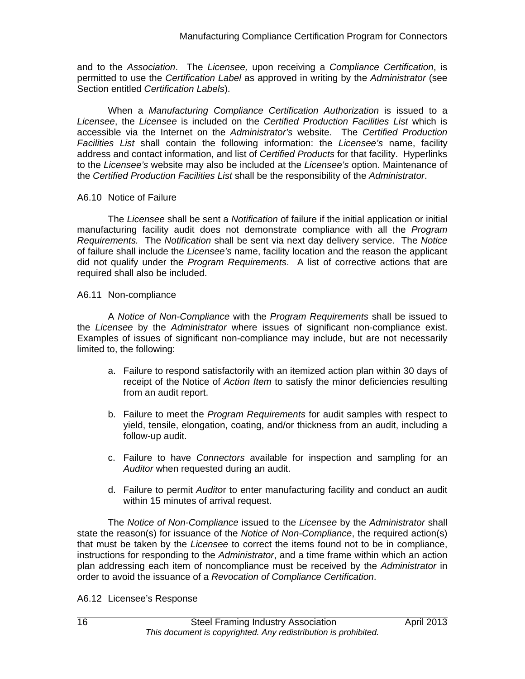and to the *Association*. The *Licensee,* upon receiving a *Compliance Certification*, is permitted to use the *Certification Label* as approved in writing by the *Administrator* (see Section entitled *Certification Labels*).

When a *Manufacturing Compliance Certification Authorization* is issued to a *Licensee*, the *Licensee* is included on the *Certified Production Facilities List* which is accessible via the Internet on the *Administrator's* website. The *Certified Production Facilities List* shall contain the following information: the *Licensee's* name, facility address and contact information, and list of *Certified Products* for that facility. Hyperlinks to the *Licensee's* website may also be included at the *Licensee's* option. Maintenance of the *Certified Production Facilities List* shall be the responsibility of the *Administrator*.

#### A6.10 Notice of Failure

The *Licensee* shall be sent a *Notification* of failure if the initial application or initial manufacturing facility audit does not demonstrate compliance with all the *Program Requirements.* The *Notification* shall be sent via next day delivery service. The *Notice* of failure shall include the *Licensee's* name, facility location and the reason the applicant did not qualify under the *Program Requirements*. A list of corrective actions that are required shall also be included.

#### A6.11 Non-compliance

A *Notice of Non-Compliance* with the *Program Requirements* shall be issued to the *Licensee* by the *Administrator* where issues of significant non-compliance exist. Examples of issues of significant non-compliance may include, but are not necessarily limited to, the following:

- a. Failure to respond satisfactorily with an itemized action plan within 30 days of receipt of the Notice of *Action Item* to satisfy the minor deficiencies resulting from an audit report.
- b. Failure to meet the *Program Requirements* for audit samples with respect to yield, tensile, elongation, coating, and/or thickness from an audit, including a follow-up audit.
- c. Failure to have *Connectors* available for inspection and sampling for an *Auditor* when requested during an audit.
- d. Failure to permit *Audito*r to enter manufacturing facility and conduct an audit within 15 minutes of arrival request.

The *Notice of Non-Compliance* issued to the *Licensee* by the *Administrator* shall state the reason(s) for issuance of the *Notice of Non-Compliance*, the required action(s) that must be taken by the *Licensee* to correct the items found not to be in compliance, instructions for responding to the *Administrator*, and a time frame within which an action plan addressing each item of noncompliance must be received by the *Administrator* in order to avoid the issuance of a *Revocation of Compliance Certification*.

#### A6.12 Licensee's Response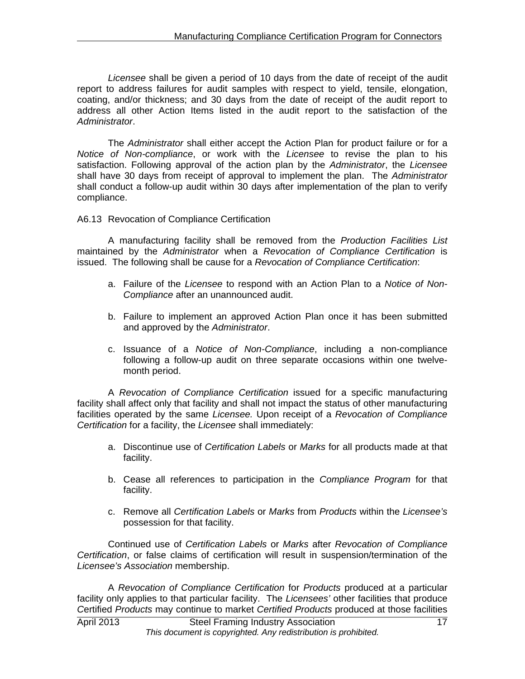*Licensee* shall be given a period of 10 days from the date of receipt of the audit report to address failures for audit samples with respect to yield, tensile, elongation, coating, and/or thickness; and 30 days from the date of receipt of the audit report to address all other Action Items listed in the audit report to the satisfaction of the *Administrator*.

The *Administrator* shall either accept the Action Plan for product failure or for a *Notice of Non-compliance*, or work with the *Licensee* to revise the plan to his satisfaction. Following approval of the action plan by the *Administrator*, the *Licensee* shall have 30 days from receipt of approval to implement the plan. The *Administrator* shall conduct a follow-up audit within 30 days after implementation of the plan to verify compliance.

A6.13 Revocation of Compliance Certification

A manufacturing facility shall be removed from the *Production Facilities List* maintained by the *Administrator* when a *Revocation of Compliance Certification* is issued. The following shall be cause for a *Revocation of Compliance Certification*:

- a. Failure of the *Licensee* to respond with an Action Plan to a *Notice of Non-Compliance* after an unannounced audit.
- b. Failure to implement an approved Action Plan once it has been submitted and approved by the *Administrator*.
- c. Issuance of a *Notice of Non-Compliance*, including a non-compliance following a follow-up audit on three separate occasions within one twelvemonth period.

A *Revocation of Compliance Certification* issued for a specific manufacturing facility shall affect only that facility and shall not impact the status of other manufacturing facilities operated by the same *Licensee.* Upon receipt of a *Revocation of Compliance Certification* for a facility, the *Licensee* shall immediately:

- a. Discontinue use of *Certification Labels* or *Marks* for all products made at that facility.
- b. Cease all references to participation in the *Compliance Program* for that facility.
- c. Remove all *Certification Labels* or *Marks* from *Products* within the *Licensee's* possession for that facility.

Continued use of *Certification Labels* or *Marks* after *Revocation of Compliance Certification*, or false claims of certification will result in suspension/termination of the *Licensee's Association* membership.

A *Revocation of Compliance Certification* for *Products* produced at a particular facility only applies to that particular facility. The *Licensees'* other facilities that produce *C*ertified *Products* may continue to market *Certified Products* produced at those facilities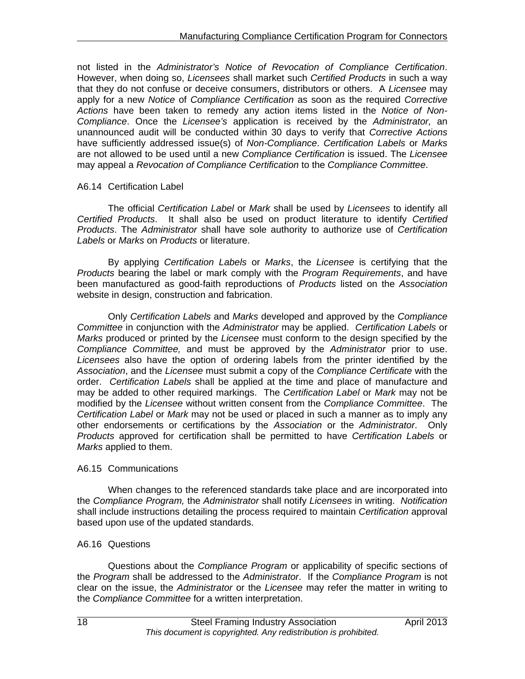not listed in the *Administrator's Notice of Revocation of Compliance Certification*. However, when doing so, *Licensees* shall market such *Certified Products* in such a way that they do not confuse or deceive consumers, distributors or others. A *Licensee* may apply for a new *Notice* of *Compliance Certification* as soon as the required *Corrective Actions* have been taken to remedy any action items listed in the *Notice of Non-Compliance*. Once the *Licensee's* application is received by the *Administrator,* an unannounced audit will be conducted within 30 days to verify that *Corrective Actions* have sufficiently addressed issue(s) of *Non-Compliance*. *Certification Labels* or *Marks*  are not allowed to be used until a new *Compliance Certification* is issued. The *Licensee* may appeal a *Revocation of Compliance Certification* to the *Compliance Committee*.

#### A6.14 Certification Label

The official *Certification Label* or *Mark* shall be used by *Licensees* to identify all *Certified Products*. It shall also be used on product literature to identify *Certified Products*. The *Administrator* shall have sole authority to authorize use of *Certification Labels* or *Marks* on *Products* or literature.

By applying *Certification Labels* or *Marks*, the *Licensee* is certifying that the *Products* bearing the label or mark comply with the *Program Requirements*, and have been manufactured as good-faith reproductions of *Products* listed on the *Association*  website in design, construction and fabrication.

Only *Certification Labels* and *Marks* developed and approved by the *Compliance Committee* in conjunction with the *Administrator* may be applied. *Certification Labels* or *Marks* produced or printed by the *Licensee* must conform to the design specified by the *Compliance Committee,* and must be approved by the *Administrator* prior to use. *Licensees* also have the option of ordering labels from the printer identified by the *Association*, and the *Licensee* must submit a copy of the *Compliance Certificate* with the order. *Certification Labels* shall be applied at the time and place of manufacture and may be added to other required markings. The *Certification Label* or *Mark* may not be modified by the *Licensee* without written consent from the *Compliance Committee*. The *Certification Label* or *Mark* may not be used or placed in such a manner as to imply any other endorsements or certifications by the *Association* or the *Administrator*. Only *Products* approved for certification shall be permitted to have *Certification Labels* or *Marks* applied to them.

#### A6.15 Communications

When changes to the referenced standards take place and are incorporated into the *Compliance Program,* the *Administrator* shall notify *Licensees* in writing. *Notification* shall include instructions detailing the process required to maintain *Certification* approval based upon use of the updated standards.

#### A6.16 Questions

Questions about the *Compliance Program* or applicability of specific sections of the *Program* shall be addressed to the *Administrator*. If the *Compliance Program* is not clear on the issue, the *Administrator* or the *Licensee* may refer the matter in writing to the *Compliance Committee* for a written interpretation.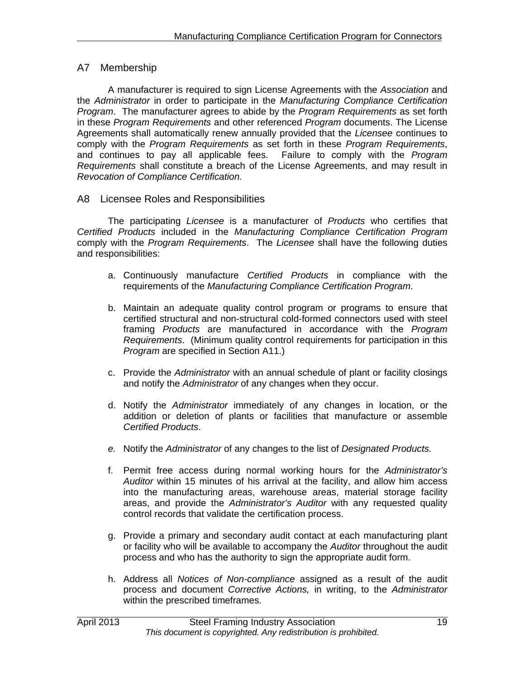# A7 Membership

A manufacturer is required to sign License Agreements with the *Association* and the *Administrator* in order to participate in the *Manufacturing Compliance Certification Program*. The manufacturer agrees to abide by the *Program Requirements* as set forth in these *Program Requirements* and other referenced *Program* documents. The License Agreements shall automatically renew annually provided that the *Licensee* continues to comply with the *Program Requirements* as set forth in these *Program Requirements*, and continues to pay all applicable fees. Failure to comply with the *Program Requirements* shall constitute a breach of the License Agreements, and may result in *Revocation of Compliance Certification.*

#### A8 Licensee Roles and Responsibilities

The participating *Licensee* is a manufacturer of *Products* who certifies that *Certified Products* included in the *Manufacturing Compliance Certification Program* comply with the *Program Requirements*. The *Licensee* shall have the following duties and responsibilities:

- a. Continuously manufacture *Certified Products* in compliance with the requirements of the *Manufacturing Compliance Certification Program*.
- b. Maintain an adequate quality control program or programs to ensure that certified structural and non-structural cold-formed connectors used with steel framing *Products* are manufactured in accordance with the *Program Requirements*. (Minimum quality control requirements for participation in this *Program* are specified in Section A11.)
- c. Provide the *Administrator* with an annual schedule of plant or facility closings and notify the *Administrator* of any changes when they occur.
- d. Notify the *Administrator* immediately of any changes in location, or the addition or deletion of plants or facilities that manufacture or assemble *Certified Products*.
- *e.* Notify the *Administrator* of any changes to the list of *Designated Products.*
- f. Permit free access during normal working hours for the *Administrator's Auditor* within 15 minutes of his arrival at the facility, and allow him access into the manufacturing areas, warehouse areas, material storage facility areas, and provide the *Administrator's Auditor* with any requested quality control records that validate the certification process.
- g. Provide a primary and secondary audit contact at each manufacturing plant or facility who will be available to accompany the *Auditor* throughout the audit process and who has the authority to sign the appropriate audit form.
- h. Address all *Notices of Non-compliance* assigned as a result of the audit process and document *Corrective Actions,* in writing, to the *Administrator* within the prescribed timeframes.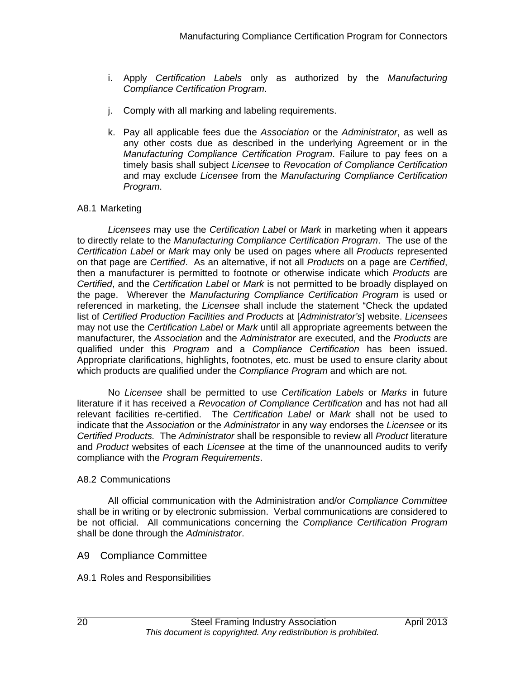- i. Apply *Certification Labels* only as authorized by the *Manufacturing Compliance Certification Program*.
- j. Comply with all marking and labeling requirements.
- k. Pay all applicable fees due the *Association* or the *Administrator*, as well as any other costs due as described in the underlying Agreement or in the *Manufacturing Compliance Certification Program*. Failure to pay fees on a timely basis shall subject *Licensee* to *Revocation of Compliance Certification*  and may exclude *Licensee* from the *Manufacturing Compliance Certification Program*.

#### A8.1 Marketing

*Licensees* may use the *Certification Label* or *Mark* in marketing when it appears to directly relate to the *Manufacturing Compliance Certification Program*. The use of the *Certification Label* or *Mark* may only be used on pages where all *Products* represented on that page are *Certified*. As an alternative, if not all *Products* on a page are *Certified*, then a manufacturer is permitted to footnote or otherwise indicate which *Products* are *Certified*, and the *Certification Label* or *Mark* is not permitted to be broadly displayed on the page. Wherever the *Manufacturing Compliance Certification Program* is used or referenced in marketing, the *Licensee* shall include the statement "Check the updated list of *Certified Production Facilities and Products* at [*Administrator's*] website. *Licensees*  may not use the *Certification Label* or *Mark* until all appropriate agreements between the manufacturer*,* the *Association* and the *Administrator* are executed, and the *Products* are qualified under this *Program* and a *Compliance Certification* has been issued. Appropriate clarifications, highlights, footnotes, etc. must be used to ensure clarity about which products are qualified under the *Compliance Program* and which are not.

No *Licensee* shall be permitted to use *Certification Labels* or *Marks* in future literature if it has received a *Revocation of Compliance Certification* and has not had all relevant facilities re-certified. The *Certification Label* or *Mark* shall not be used to indicate that the *Association* or the *Administrator* in any way endorses the *Licensee* or its *Certified Products.* The *Administrator* shall be responsible to review all *Product* literature and *Product* websites of each *Licensee* at the time of the unannounced audits to verify compliance with the *Program Requirements*.

#### A8.2 Communications

 All official communication with the Administration and/or *Compliance Committee* shall be in writing or by electronic submission. Verbal communications are considered to be not official. All communications concerning the *Compliance Certification Program* shall be done through the *Administrator*.

#### A9 Compliance Committee

A9.1 Roles and Responsibilities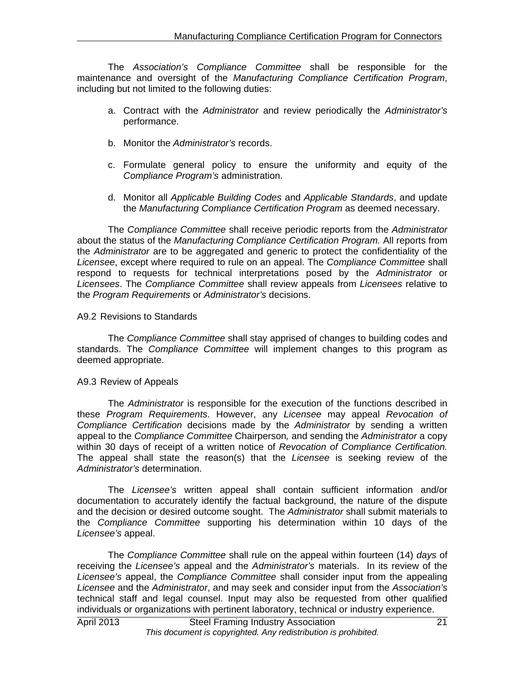The *Association's Compliance Committee* shall be responsible for the maintenance and oversight of the *Manufacturing Compliance Certification Program*, including but not limited to the following duties:

- a. Contract with the *Administrator* and review periodically the *Administrator's* performance.
- b. Monitor the *Administrator's* records.
- c. Formulate general policy to ensure the uniformity and equity of the *Compliance Program's* administration.
- d. Monitor all *Applicable Building Codes* and *Applicable Standards*, and update the *Manufacturing Compliance Certification Program* as deemed necessary.

The *Compliance Committee* shall receive periodic reports from the *Administrator*  about the status of the *Manufacturing Compliance Certification Program.* All reports from the *Administrator* are to be aggregated and generic to protect the confidentiality of the *Licensee*, except where required to rule on an appeal. The *Compliance Committee* shall respond to requests for technical interpretations posed by the *Administrator* or *Licensees*. The *Compliance Committee* shall review appeals from *Licensees* relative to the *Program Requirements* or *Administrator's* decisions.

#### A9.2 Revisions to Standards

 The *Compliance Committee* shall stay apprised of changes to building codes and standards. The *Compliance Committee* will implement changes to this program as deemed appropriate.

#### A9.3 Review of Appeals

The *Administrator* is responsible for the execution of the functions described in these *Program Requirements*. However, any *Licensee* may appeal *Revocation of Compliance Certification* decisions made by the *Administrator* by sending a written appeal to the *Compliance Committee* Chairperson*,* and sending the *Administrator* a copy within 30 days of receipt of a written notice of *Revocation of Compliance Certification.*  The appeal shall state the reason(s) that the *Licensee* is seeking review of the *Administrator's* determination.

The *Licensee's* written appeal shall contain sufficient information and/or documentation to accurately identify the factual background, the nature of the dispute and the decision or desired outcome sought. The *Administrator* shall submit materials to the *Compliance Committee* supporting his determination within 10 days of the *Licensee's* appeal.

The *Compliance Committee* shall rule on the appeal within fourteen (14) *days* of receiving the *Licensee's* appeal and the *Administrator's* materials. In its review of the *Licensee's* appeal, the *Compliance Committee* shall consider input from the appealing *Licensee* and the *Administrator*, and may seek and consider input from the *Association's* technical staff and legal counsel. Input may also be requested from other qualified individuals or organizations with pertinent laboratory, technical or industry experience.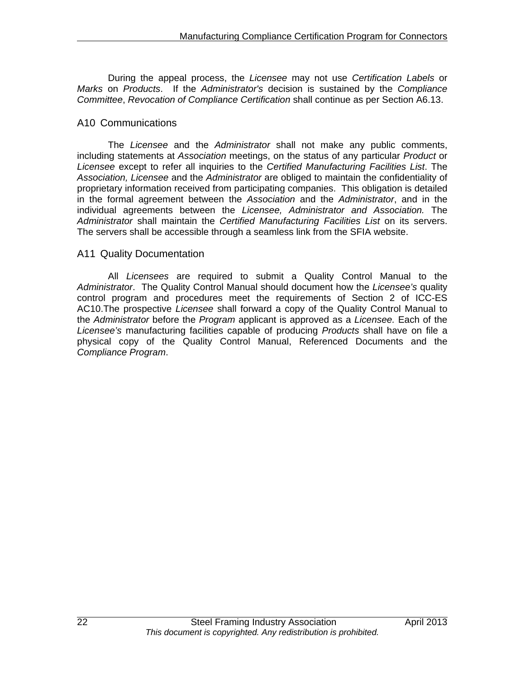During the appeal process, the *Licensee* may not use *Certification Labels* or *Marks* on *Products*. If the *Administrator's* decision is sustained by the *Compliance Committee*, *Revocation of Compliance Certification* shall continue as per Section A6.13.

# A10 Communications

The *Licensee* and the *Administrator* shall not make any public comments, including statements at *Association* meetings, on the status of any particular *Product* or *Licensee* except to refer all inquiries to the *Certified Manufacturing Facilities List*. The *Association, Licensee* and the *Administrator* are obliged to maintain the confidentiality of proprietary information received from participating companies. This obligation is detailed in the formal agreement between the *Association* and the *Administrator*, and in the individual agreements between the *Licensee, Administrator and Association.* The *Administrator* shall maintain the *Certified Manufacturing Facilities List* on its servers. The servers shall be accessible through a seamless link from the SFIA website.

#### A11 Quality Documentation

All *Licensees* are required to submit a Quality Control Manual to the *Administrator*. The Quality Control Manual should document how the *Licensee's* quality control program and procedures meet the requirements of Section 2 of ICC-ES AC10.The prospective *Licensee* shall forward a copy of the Quality Control Manual to the *Administrator* before the *Program* applicant is approved as a *Licensee.* Each of the *Licensee's* manufacturing facilities capable of producing *Products* shall have on file a physical copy of the Quality Control Manual, Referenced Documents and the *Compliance Program*.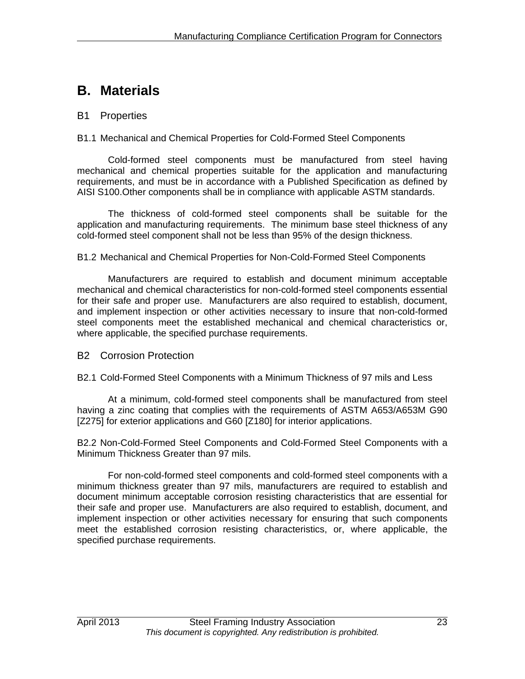# **B. Materials**

# B1 Properties

#### B1.1 Mechanical and Chemical Properties for Cold-Formed Steel Components

Cold-formed steel components must be manufactured from steel having mechanical and chemical properties suitable for the application and manufacturing requirements, and must be in accordance with a Published Specification as defined by AISI S100.Other components shall be in compliance with applicable ASTM standards.

The thickness of cold-formed steel components shall be suitable for the application and manufacturing requirements. The minimum base steel thickness of any cold-formed steel component shall not be less than 95% of the design thickness.

#### B1.2 Mechanical and Chemical Properties for Non-Cold-Formed Steel Components

Manufacturers are required to establish and document minimum acceptable mechanical and chemical characteristics for non-cold-formed steel components essential for their safe and proper use. Manufacturers are also required to establish, document, and implement inspection or other activities necessary to insure that non-cold-formed steel components meet the established mechanical and chemical characteristics or, where applicable, the specified purchase requirements.

#### B2 Corrosion Protection

B2.1 Cold-Formed Steel Components with a Minimum Thickness of 97 mils and Less

At a minimum, cold-formed steel components shall be manufactured from steel having a zinc coating that complies with the requirements of ASTM A653/A653M G90 [Z275] for exterior applications and G60 [Z180] for interior applications.

B2.2 Non-Cold-Formed Steel Components and Cold-Formed Steel Components with a Minimum Thickness Greater than 97 mils.

For non-cold-formed steel components and cold-formed steel components with a minimum thickness greater than 97 mils, manufacturers are required to establish and document minimum acceptable corrosion resisting characteristics that are essential for their safe and proper use. Manufacturers are also required to establish, document, and implement inspection or other activities necessary for ensuring that such components meet the established corrosion resisting characteristics, or, where applicable, the specified purchase requirements.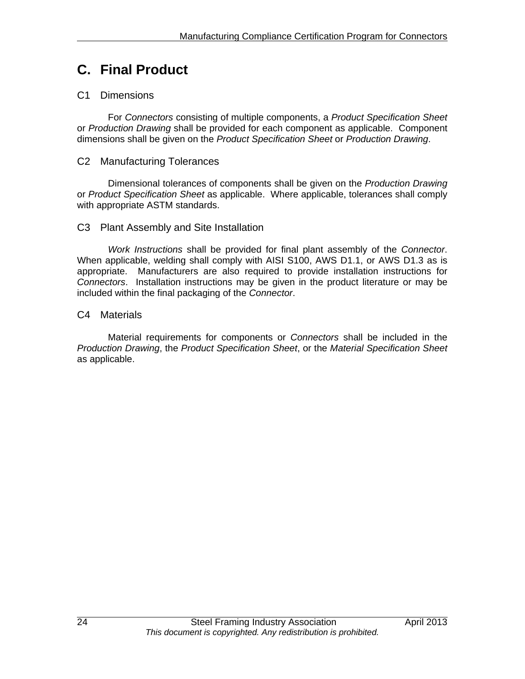# **C. Final Product**

# C1 Dimensions

For *Connectors* consisting of multiple components, a *Product Specification Sheet* or *Production Drawing* shall be provided for each component as applicable. Component dimensions shall be given on the *Product Specification Sheet* or *Production Drawing*.

# C2 Manufacturing Tolerances

Dimensional tolerances of components shall be given on the *Production Drawing* or *Product Specification Sheet* as applicable. Where applicable, tolerances shall comply with appropriate ASTM standards.

# C3 Plant Assembly and Site Installation

*Work Instructions* shall be provided for final plant assembly of the *Connector*. When applicable, welding shall comply with AISI S100, AWS D1.1, or AWS D1.3 as is appropriate. Manufacturers are also required to provide installation instructions for *Connectors*. Installation instructions may be given in the product literature or may be included within the final packaging of the *Connector*.

# C4 Materials

 Material requirements for components or *Connectors* shall be included in the *Production Drawing*, the *Product Specification Sheet*, or the *Material Specification Sheet* as applicable.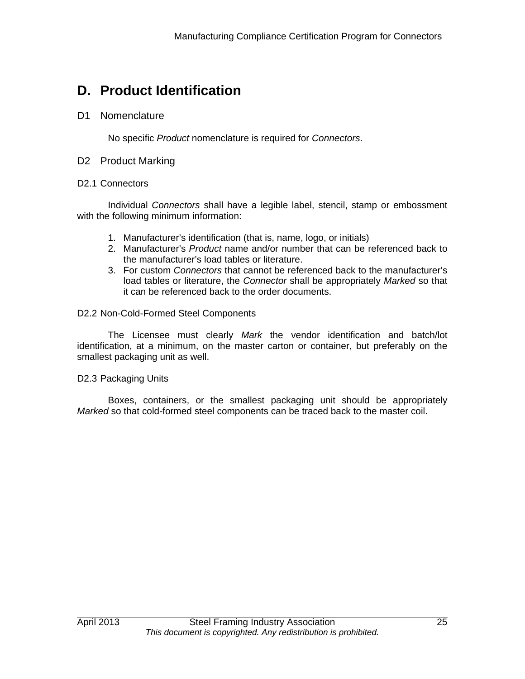# **D. Product Identification**

# D1 Nomenclature

No specific *Product* nomenclature is required for *Connectors*.

#### D<sub>2</sub> Product Marking

#### D2.1 Connectors

Individual *Connectors* shall have a legible label, stencil, stamp or embossment with the following minimum information:

- 1. Manufacturer's identification (that is, name, logo, or initials)
- 2. Manufacturer's *Product* name and/or number that can be referenced back to the manufacturer's load tables or literature.
- 3. For custom *Connectors* that cannot be referenced back to the manufacturer's load tables or literature, the *Connector* shall be appropriately *Marked* so that it can be referenced back to the order documents.

#### D2.2 Non-Cold-Formed Steel Components

The Licensee must clearly *Mark* the vendor identification and batch/lot identification, at a minimum, on the master carton or container, but preferably on the smallest packaging unit as well.

#### D2.3 Packaging Units

 Boxes, containers, or the smallest packaging unit should be appropriately *Marked* so that cold-formed steel components can be traced back to the master coil.